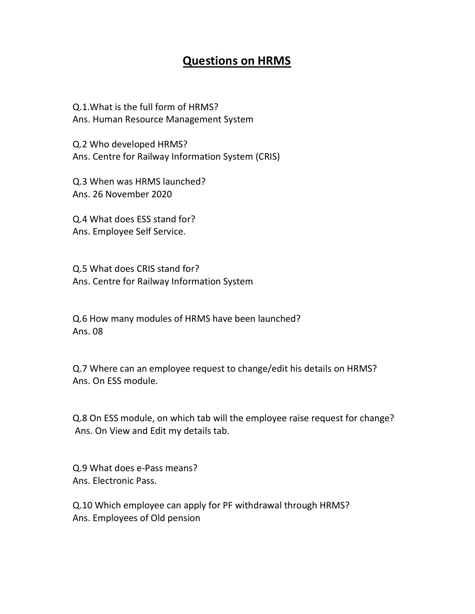## Questions on HRMS

Q.1.What is the full form of HRMS? Ans. Human Resource Management System

Q.2 Who developed HRMS? Ans. Centre for Railway Information System (CRIS)

Q.3 When was HRMS launched? Ans. 26 November 2020

Q.4 What does ESS stand for? Ans. Employee Self Service.

Q.5 What does CRIS stand for? Ans. Centre for Railway Information System

Q.6 How many modules of HRMS have been launched? Ans. 08

Q.7 Where can an employee request to change/edit his details on HRMS? Ans. On ESS module.

Q.8 On ESS module, on which tab will the employee raise request for change? Ans. On View and Edit my details tab.

Q.9 What does e-Pass means? Ans. Electronic Pass.

Q.10 Which employee can apply for PF withdrawal through HRMS? Ans. Employees of Old pension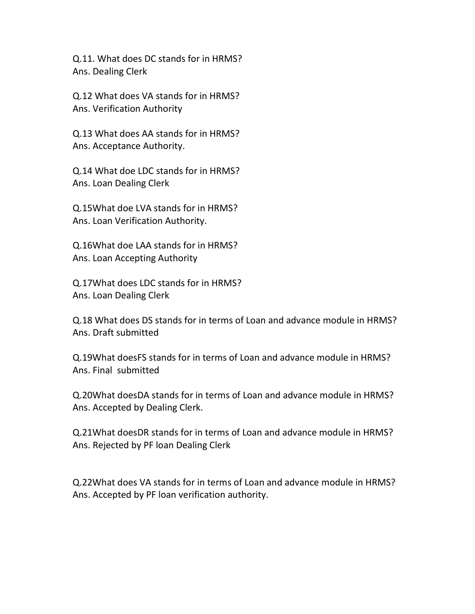Q.11. What does DC stands for in HRMS? Ans. Dealing Clerk

Q.12 What does VA stands for in HRMS? Ans. Verification Authority

Q.13 What does AA stands for in HRMS? Ans. Acceptance Authority.

Q.14 What doe LDC stands for in HRMS? Ans. Loan Dealing Clerk

Q.15What doe LVA stands for in HRMS? Ans. Loan Verification Authority.

Q.16What doe LAA stands for in HRMS? Ans. Loan Accepting Authority

Q.17What does LDC stands for in HRMS? Ans. Loan Dealing Clerk

Q.18 What does DS stands for in terms of Loan and advance module in HRMS? Ans. Draft submitted

Q.19What doesFS stands for in terms of Loan and advance module in HRMS? Ans. Final submitted

Q.20What doesDA stands for in terms of Loan and advance module in HRMS? Ans. Accepted by Dealing Clerk.

Q.21What doesDR stands for in terms of Loan and advance module in HRMS? Ans. Rejected by PF loan Dealing Clerk

Q.22What does VA stands for in terms of Loan and advance module in HRMS? Ans. Accepted by PF loan verification authority.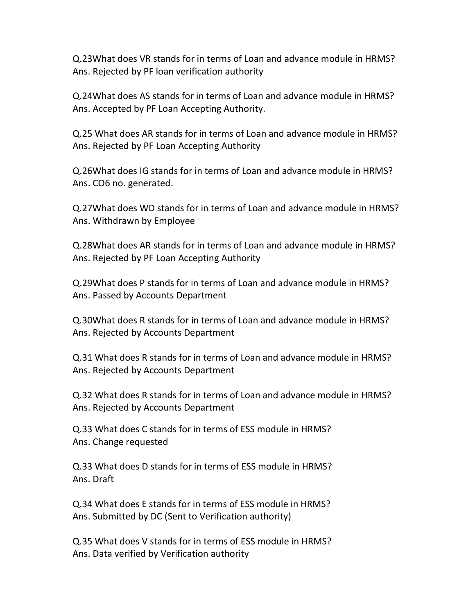Q.23What does VR stands for in terms of Loan and advance module in HRMS? Ans. Rejected by PF loan verification authority

Q.24What does AS stands for in terms of Loan and advance module in HRMS? Ans. Accepted by PF Loan Accepting Authority.

Q.25 What does AR stands for in terms of Loan and advance module in HRMS? Ans. Rejected by PF Loan Accepting Authority

Q.26What does IG stands for in terms of Loan and advance module in HRMS? Ans. CO6 no. generated.

Q.27What does WD stands for in terms of Loan and advance module in HRMS? Ans. Withdrawn by Employee

Q.28What does AR stands for in terms of Loan and advance module in HRMS? Ans. Rejected by PF Loan Accepting Authority

Q.29What does P stands for in terms of Loan and advance module in HRMS? Ans. Passed by Accounts Department

Q.30What does R stands for in terms of Loan and advance module in HRMS? Ans. Rejected by Accounts Department

Q.31 What does R stands for in terms of Loan and advance module in HRMS? Ans. Rejected by Accounts Department

Q.32 What does R stands for in terms of Loan and advance module in HRMS? Ans. Rejected by Accounts Department

Q.33 What does C stands for in terms of ESS module in HRMS? Ans. Change requested

Q.33 What does D stands for in terms of ESS module in HRMS? Ans. Draft

Q.34 What does E stands for in terms of ESS module in HRMS? Ans. Submitted by DC (Sent to Verification authority)

Q.35 What does V stands for in terms of ESS module in HRMS? Ans. Data verified by Verification authority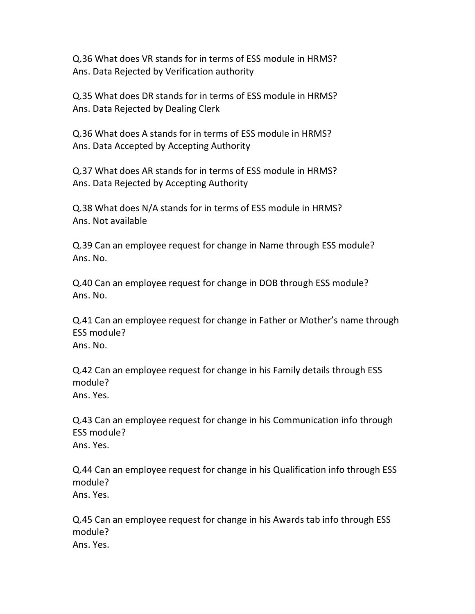Q.36 What does VR stands for in terms of ESS module in HRMS? Ans. Data Rejected by Verification authority

Q.35 What does DR stands for in terms of ESS module in HRMS? Ans. Data Rejected by Dealing Clerk

Q.36 What does A stands for in terms of ESS module in HRMS? Ans. Data Accepted by Accepting Authority

Q.37 What does AR stands for in terms of ESS module in HRMS? Ans. Data Rejected by Accepting Authority

Q.38 What does N/A stands for in terms of ESS module in HRMS? Ans. Not available

Q.39 Can an employee request for change in Name through ESS module? Ans. No.

Q.40 Can an employee request for change in DOB through ESS module? Ans. No.

Q.41 Can an employee request for change in Father or Mother's name through ESS module? Ans. No.

Q.42 Can an employee request for change in his Family details through ESS module? Ans. Yes.

Q.43 Can an employee request for change in his Communication info through ESS module? Ans. Yes.

Q.44 Can an employee request for change in his Qualification info through ESS module? Ans. Yes.

Q.45 Can an employee request for change in his Awards tab info through ESS module? Ans. Yes.